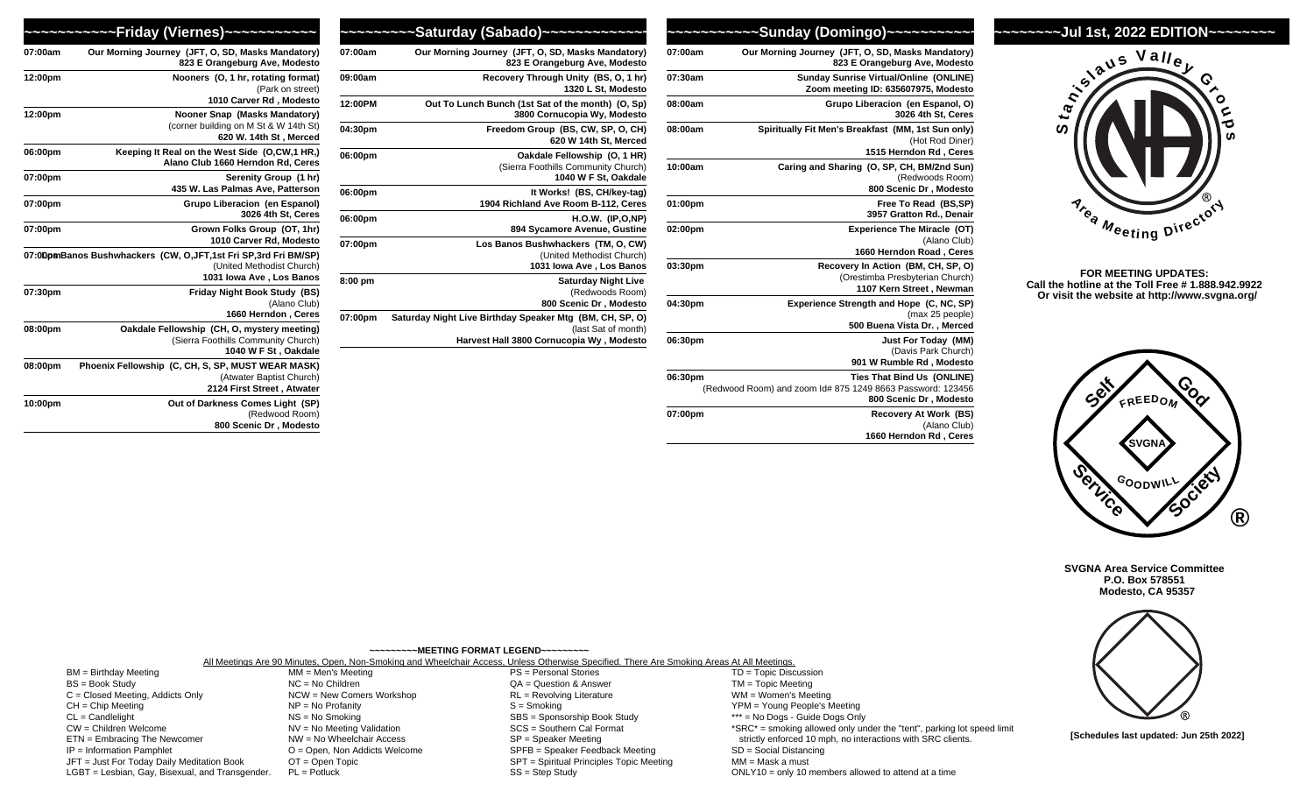## **~~~~~~~~Jul 1st, 2022 EDITION~~~~~~~~**



**FOR MEETING UPDATES: Call the hotline at the Toll Free # 1.888.942.9922 Or visit the website at http://www.svgna.org/**



**SVGNA Area Service Committee P.O. Box 578551 Modesto, CA 95357**



**[Schedules last updated: Jun 25th 2022]**

| Our Morning Journey (JFT, O, SD, Masks Mandatory)<br>07:00am<br>823 E Orangeburg Ave, Modesto<br>07:30am<br><b>Sunday Sunrise Virtual/Online (ONLINE)</b><br>Zoom meeting ID: 635607975, Modesto<br>Grupo Liberacion (en Espanol, O)<br>08:00am<br>3026 4th St, Ceres<br>Spiritually Fit Men's Breakfast (MM, 1st Sun only)<br>08:00am<br>(Hot Rod Diner)<br>1515 Herndon Rd, Ceres<br>10:00am<br>Caring and Sharing (O, SP, CH, BM/2nd Sun)<br>(Redwoods Room)<br>800 Scenic Dr, Modesto<br>01:00pm<br>Free To Read (BS,SP) |  |
|------------------------------------------------------------------------------------------------------------------------------------------------------------------------------------------------------------------------------------------------------------------------------------------------------------------------------------------------------------------------------------------------------------------------------------------------------------------------------------------------------------------------------|--|
|                                                                                                                                                                                                                                                                                                                                                                                                                                                                                                                              |  |
|                                                                                                                                                                                                                                                                                                                                                                                                                                                                                                                              |  |
|                                                                                                                                                                                                                                                                                                                                                                                                                                                                                                                              |  |
|                                                                                                                                                                                                                                                                                                                                                                                                                                                                                                                              |  |
|                                                                                                                                                                                                                                                                                                                                                                                                                                                                                                                              |  |
| 3957 Gratton Rd., Denair                                                                                                                                                                                                                                                                                                                                                                                                                                                                                                     |  |
| <b>Experience The Miracle (OT)</b><br>02:00pm<br>(Alano Club)<br>1660 Herndon Road, Ceres                                                                                                                                                                                                                                                                                                                                                                                                                                    |  |
| Recovery In Action (BM, CH, SP, O)<br>03:30pm<br>(Orestimba Presbyterian Church)<br>1107 Kern Street, Newman                                                                                                                                                                                                                                                                                                                                                                                                                 |  |
| 04:30pm<br>Experience Strength and Hope (C, NC, SP)<br>(max 25 people)<br>500 Buena Vista Dr., Merced                                                                                                                                                                                                                                                                                                                                                                                                                        |  |
| Just For Today (MM)<br>06:30pm<br>(Davis Park Church)<br>901 W Rumble Rd, Modesto                                                                                                                                                                                                                                                                                                                                                                                                                                            |  |
| 06:30pm<br>Ties That Bind Us (ONLINE)<br>(Redwood Room) and zoom Id# 875 1249 8663 Password: 123456<br>800 Scenic Dr, Modesto                                                                                                                                                                                                                                                                                                                                                                                                |  |
| 07:00pm<br>Recovery At Work (BS)<br>(Alano Club)<br>1660 Herndon Rd, Ceres                                                                                                                                                                                                                                                                                                                                                                                                                                                   |  |

MM = Mask a must

ONLY10 = only 10 members allowed to attend at a time

| ~~~~~~~~~Saturday (Sabado)~~~~~~~~~~~~ |                                                                                             |  |  |
|----------------------------------------|---------------------------------------------------------------------------------------------|--|--|
| 07:00am                                | Our Morning Journey (JFT, O, SD, Masks Mandatory)<br>823 E Orangeburg Ave, Modesto          |  |  |
| 09:00am                                | Recovery Through Unity (BS, O, 1 hr)<br>1320 L St, Modesto                                  |  |  |
| 12:00PM                                | Out To Lunch Bunch (1st Sat of the month) (O, Sp)<br>3800 Cornucopia Wy, Modesto            |  |  |
| 04:30pm                                | Freedom Group (BS, CW, SP, O, CH)<br>620 W 14th St. Merced                                  |  |  |
| 06:00pm                                | Oakdale Fellowship (O, 1 HR)<br>(Sierra Foothills Community Church)<br>1040 W F St. Oakdale |  |  |
| 06:00pm                                | It Works! (BS, CH/key-tag)<br>1904 Richland Ave Room B-112, Ceres                           |  |  |
| 06:00pm                                | $H.O.W.$ (IP, $O(NP)$ )                                                                     |  |  |

**07:00am Our Morning Journey (JFT, O, SD, Masks Mandatory)**

**12:00PM** 

**04:30pm Freedom Group (BS, CW, SP, O, CH)**

**06:00pm Oakdale Fellowship (O, 1 HR)**

**06:00pm It Works! (BS, CH/key-tag)**

**06:00pm H.O.W. (IP,O,NP)**

OT = Open Topic PL = Potluck

**894 Sycamore Avenue, Gusti 07:00pm Los Banos Bushwhackers (TM, O, CW)** (United Methodist Churc **1031 Iowa Ave , Los Banos 8:00 pm Saturday Night Live**  (Redwoods Room) 800 Scenic Dr, Modes

07:00pm Saturday Night Live Birthday Speaker Mtg (BM, CH, SP, (last Sat of mon **Harvest Hall 3800 Cornucopia Wy , Modest** 

|         | -~~~Friday (Viernes)~~~~~~~~~~~                                                                                            |
|---------|----------------------------------------------------------------------------------------------------------------------------|
| 07:00am | Our Morning Journey (JFT, O, SD, Masks Mandatory)<br>823 E Orangeburg Ave, Modesto                                         |
| 12:00pm | Nooners (O, 1 hr, rotating format)<br>(Park on street)<br>1010 Carver Rd, Modesto                                          |
| 12:00pm | Nooner Snap (Masks Mandatory)<br>(corner building on M St & W 14th St)<br>620 W. 14th St, Merced                           |
| 06:00pm | Keeping It Real on the West Side (O,CW,1 HR,)<br>Alano Club 1660 Herndon Rd. Ceres                                         |
| 07:00pm | Serenity Group (1 hr)<br>435 W. Las Palmas Ave, Patterson                                                                  |
| 07:00pm | Grupo Liberacion (en Espanol)<br>3026 4th St, Ceres                                                                        |
| 07:00pm | Grown Folks Group (OT, 1hr)<br>1010 Carver Rd, Modesto                                                                     |
|         | 07:00pmBanos Bushwhackers (CW, O, JFT, 1st Fri SP, 3rd Fri BM/SP)<br>(United Methodist Church)<br>1031 Iowa Ave, Los Banos |
| 07:30pm | Friday Night Book Study (BS)<br>(Alano Club)<br>1660 Herndon, Ceres                                                        |
| 08:00pm | Oakdale Fellowship (CH, O, mystery meeting)<br>(Sierra Foothills Community Church)<br>1040 W F St, Oakdale                 |
| 08:00pm | Phoenix Fellowship (C, CH, S, SP, MUST WEAR MASK)<br>(Atwater Baptist Church)<br>2124 First Street, Atwater                |
| 10:00pm | Out of Darkness Comes Light (SP)<br>(Redwood Room)<br>800 Scenic Dr, Modesto                                               |

 JFT = Just For Today Daily Meditation Book LGBT = Lesbian, Gay, Bisexual, and Transgender.

|                                  |                                                                                                                                            | ~~~~~~~~~MEETING FORMAT LEGEND~~~~~~~~~ |                                                                        |
|----------------------------------|--------------------------------------------------------------------------------------------------------------------------------------------|-----------------------------------------|------------------------------------------------------------------------|
|                                  | All Meetings Are 90 Minutes, Open, Non-Smoking and Wheelchair Access, Unless Otherwise Specified. There Are Smoking Areas At All Meetings. |                                         |                                                                        |
| BM = Birthday Meeting            | MM = Men's Meeting                                                                                                                         | PS = Personal Stories                   | TD = Topic Discussion                                                  |
| BS = Book Study                  | $NC = No$ Children                                                                                                                         | $QA = Question & Answer$                | TM = Topic Meeting                                                     |
| C = Closed Meeting, Addicts Only | NCW = New Comers Workshop                                                                                                                  | RL = Revolving Literature               | WM = Women's Meeting                                                   |
| $CH = Chip$ Meeting              | $NP = No$ Profanity                                                                                                                        | S = Smoking                             | YPM = Young People's Meeting                                           |
| $CL = C$ andlelight              | $NS = No$ Smoking                                                                                                                          | SBS = Sponsorship Book Study            | *** = No Dogs - Guide Dogs Only                                        |
| CW = Children Welcome            | NV = No Meeting Validation                                                                                                                 | SCS = Southern Cal Format               | *SRC* = smoking allowed only under the "tent", parking lot speed limit |
| $ETN = Embracing$ The Newcomer   | NW = No Wheelchair Access                                                                                                                  | SP = Speaker Meeting                    | strictly enforced 10 mph, no interactions with SRC clients.            |
| $IP = Information$ Pamphlet      | O = Open, Non Addicts Welcome                                                                                                              | SPFB = Speaker Feedback Meeting         | SD = Social Distancing                                                 |

SPT = Spiritual Principles Topic Meeting

SS = Step Study